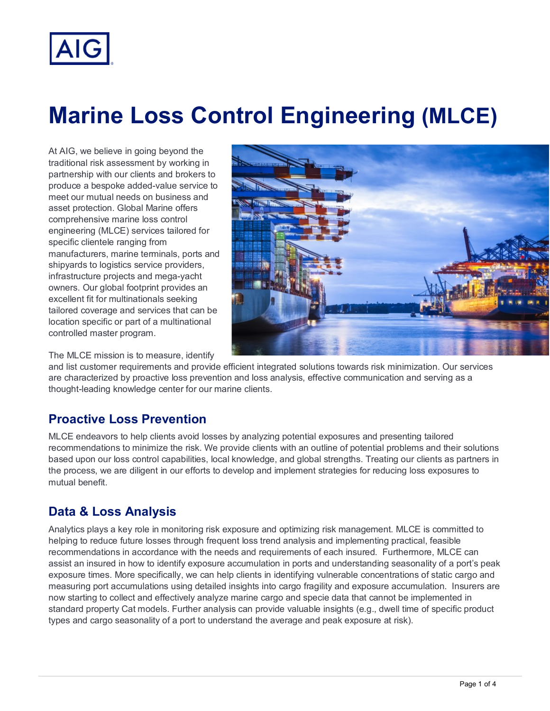

# **Marine Loss Control Engineering (MLCE)**

At AIG, we believe in going beyond the traditional risk assessment by working in partnership with our clients and brokers to produce a bespoke added-value service to meet our mutual needs on business and asset protection. Global Marine offers comprehensive marine loss control engineering (MLCE) services tailored for specific clientele ranging from manufacturers, marine terminals, ports and shipyards to logistics service providers, infrastructure projects and mega-yacht owners. Our global footprint provides an excellent fit for multinationals seeking tailored coverage and services that can be location specific or part of a multinational controlled master program.



The MLCE mission is to measure, identify

and list customer requirements and provide efficient integrated solutions towards risk minimization. Our services are characterized by proactive loss prevention and loss analysis, effective communication and serving as a thought-leading knowledge center for our marine clients.

## **Proactive Loss Prevention**

MLCE endeavors to help clients avoid losses by analyzing potential exposures and presenting tailored recommendations to minimize the risk. We provide clients with an outline of potential problems and their solutions based upon our loss control capabilities, local knowledge, and global strengths. Treating our clients as partners in the process, we are diligent in our efforts to develop and implement strategies for reducing loss exposures to mutual benefit.

# **Data & Loss Analysis**

Analytics plays a key role in monitoring risk exposure and optimizing risk management. MLCE is committed to helping to reduce future losses through frequent loss trend analysis and implementing practical, feasible recommendations in accordance with the needs and requirements of each insured. Furthermore, MLCE can assist an insured in how to identify exposure accumulation in ports and understanding seasonality of a port's peak exposure times. More specifically, we can help clients in identifying vulnerable concentrations of static cargo and measuring port accumulations using detailed insights into cargo fragility and exposure accumulation. Insurers are now starting to collect and effectively analyze marine cargo and specie data that cannot be implemented in standard property Cat models. Further analysis can provide valuable insights (e.g., dwell time of specific product types and cargo seasonality of a port to understand the average and peak exposure at risk).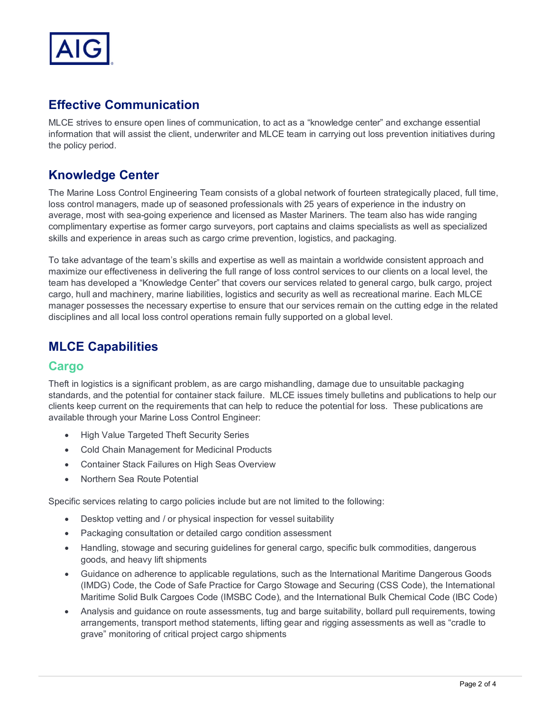

## **Effective Communication**

MLCE strives to ensure open lines of communication, to act as a "knowledge center" and exchange essential information that will assist the client, underwriter and MLCE team in carrying out loss prevention initiatives during the policy period.

## **Knowledge Center**

The Marine Loss Control Engineering Team consists of a global network of fourteen strategically placed, full time, loss control managers, made up of seasoned professionals with 25 years of experience in the industry on average, most with sea-going experience and licensed as Master Mariners. The team also has wide ranging complimentary expertise as former cargo surveyors, port captains and claims specialists as well as specialized skills and experience in areas such as cargo crime prevention, logistics, and packaging.

To take advantage of the team's skills and expertise as well as maintain a worldwide consistent approach and maximize our effectiveness in delivering the full range of loss control services to our clients on a local level, the team has developed a "Knowledge Center" that covers our services related to general cargo, bulk cargo, project cargo, hull and machinery, marine liabilities, logistics and security as well as recreational marine. Each MLCE manager possesses the necessary expertise to ensure that our services remain on the cutting edge in the related disciplines and all local loss control operations remain fully supported on a global level.

## **MLCE Capabilities**

#### **Cargo**

Theft in logistics is a significant problem, as are cargo mishandling, damage due to unsuitable packaging standards, and the potential for container stack failure. MLCE issues timely bulletins and publications to help our clients keep current on the requirements that can help to reduce the potential for loss. These publications are available through your Marine Loss Control Engineer:

- High Value Targeted Theft Security Series
- Cold Chain Management for Medicinal Products
- Container Stack Failures on High Seas Overview
- Northern Sea Route Potential

Specific services relating to cargo policies include but are not limited to the following:

- Desktop vetting and / or physical inspection for vessel suitability
- Packaging consultation or detailed cargo condition assessment
- Handling, stowage and securing guidelines for general cargo, specific bulk commodities, dangerous goods, and heavy lift shipments
- Guidance on adherence to applicable regulations, such as the International Maritime Dangerous Goods (IMDG) Code, the Code of Safe Practice for Cargo Stowage and Securing (CSS Code), the International Maritime Solid Bulk Cargoes Code (IMSBC Code), and the International Bulk Chemical Code (IBC Code)
- Analysis and guidance on route assessments, tug and barge suitability, bollard pull requirements, towing arrangements, transport method statements, lifting gear and rigging assessments as well as "cradle to grave" monitoring of critical project cargo shipments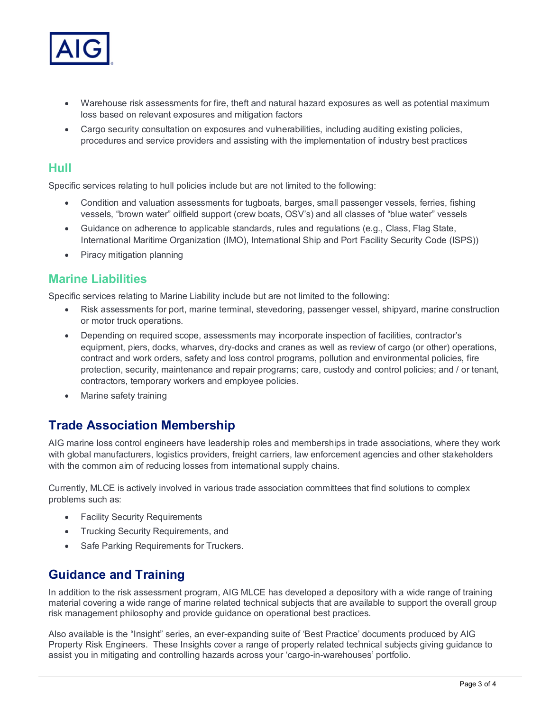

- Warehouse risk assessments for fire, theft and natural hazard exposures as well as potential maximum loss based on relevant exposures and mitigation factors
- Cargo security consultation on exposures and vulnerabilities, including auditing existing policies, procedures and service providers and assisting with the implementation of industry best practices

#### **Hull**

Specific services relating to hull policies include but are not limited to the following:

- Condition and valuation assessments for tugboats, barges, small passenger vessels, ferries, fishing vessels, "brown water" oilfield support (crew boats, OSV's) and all classes of "blue water" vessels
- Guidance on adherence to applicable standards, rules and regulations (e.g., Class, Flag State, International Maritime Organization (IMO), International Ship and Port Facility Security Code (ISPS))
- Piracy mitigation planning

#### **Marine Liabilities**

Specific services relating to Marine Liability include but are not limited to the following:

- Risk assessments for port, marine terminal, stevedoring, passenger vessel, shipyard, marine construction or motor truck operations.
- Depending on required scope, assessments may incorporate inspection of facilities, contractor's equipment, piers, docks, wharves, dry-docks and cranes as well as review of cargo (or other) operations, contract and work orders, safety and loss control programs, pollution and environmental policies, fire protection, security, maintenance and repair programs; care, custody and control policies; and / or tenant, contractors, temporary workers and employee policies.
- Marine safety training

# **Trade Association Membership**

AIG marine loss control engineers have leadership roles and memberships in trade associations, where they work with global manufacturers, logistics providers, freight carriers, law enforcement agencies and other stakeholders with the common aim of reducing losses from international supply chains.

Currently, MLCE is actively involved in various trade association committees that find solutions to complex problems such as:

- **Facility Security Requirements**
- Trucking Security Requirements, and
- Safe Parking Requirements for Truckers.

# **Guidance and Training**

In addition to the risk assessment program, AIG MLCE has developed a depository with a wide range of training material covering a wide range of marine related technical subjects that are available to support the overall group risk management philosophy and provide guidance on operational best practices.

Also available is the "Insight" series, an ever-expanding suite of 'Best Practice' documents produced by AIG Property Risk Engineers. These Insights cover a range of property related technical subjects giving guidance to assist you in mitigating and controlling hazards across your 'cargo-in-warehouses' portfolio.